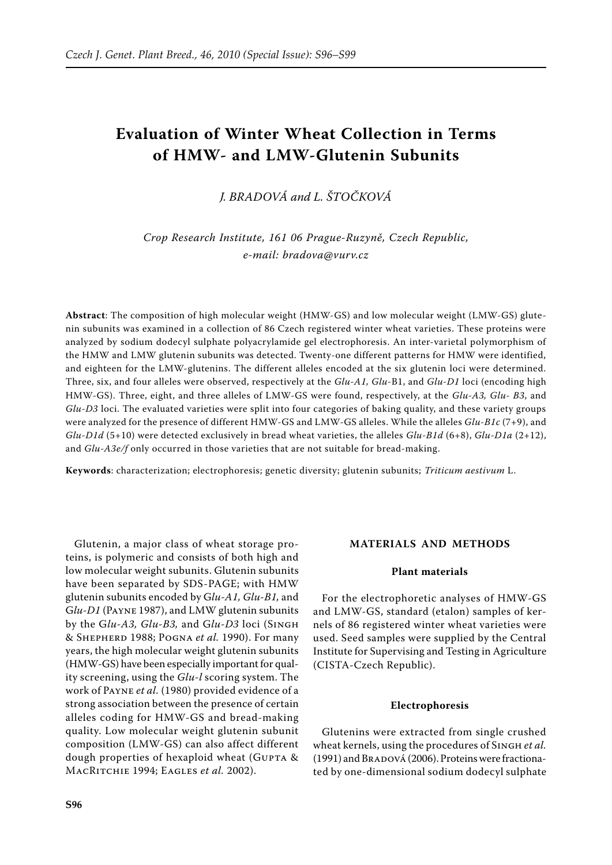# **Evaluation of Winter Wheat Collection in Terms of HMW- and LMW-Glutenin Subunits**

*J. Bradová and L. Štočková*

*Crop Research Institute, 161 06 Prague-Ruzyně, Czech Republic, e-mail: bradova@vurv.cz*

**Abstract**: The composition of high molecular weight (HMW-GS) and low molecular weight (LMW-GS) glutenin subunits was examined in a collection of 86 Czech registered winter wheat varieties. These proteins were analyzed by sodium dodecyl sulphate polyacrylamide gel electrophoresis. An inter-varietal polymorphism of the HMW and LMW glutenin subunits was detected. Twenty-one different patterns for HMW were identified, and eighteen for the LMW-glutenins. The different alleles encoded at the six glutenin loci were determined. Three, six, and four alleles were observed, respectively at the *Glu-A1, Glu-*B1, and *Glu-D1* loci (encoding high HMW-GS). Three, eight, and three alleles of LMW-GS were found, respectively, at the *Glu-A3, Glu- B3*, and *Glu-D3* loci. The evaluated varieties were split into four categories of baking quality, and these variety groups were analyzed for the presence of different HMW-GS and LMW-GS alleles. While the alleles *Glu-B1c* (7+9), and *Glu-D1d* (5+10) were detected exclusively in bread wheat varieties, the alleles *Glu-B1d* (6+8), *Glu-D1a* (2+12), and *Glu-A3e/f* only occurred in those varieties that are not suitable for bread-making.

**Keywords**: characterization; electrophoresis; genetic diversity; glutenin subunits; *Triticum aestivum* L.

Glutenin, a major class of wheat storage proteins, is polymeric and consists of both high and low molecular weight subunits. Glutenin subunits have been separated by SDS-PAGE; with HMW glutenin subunits encoded by G*lu-A1, Glu-B1,* and G*lu-D1* (Payne 1987), and LMW glutenin subunits by the G*lu-A3, Glu-B3,* and G*lu-D3* loci (Singh & Shepherd 1988; Pogna *et al.* 1990). For many years, the high molecular weight glutenin subunits (HMW-GS) have been especially important for quality screening, using the *Glu-l* scoring system. The work of Payne *et al.* (1980) provided evidence of a strong association between the presence of certain alleles coding for HMW-GS and bread-making quality. Low molecular weight glutenin subunit composition (LMW-GS) can also affect different dough properties of hexaploid wheat (GUPTA & MacRitchie 1994; Eagles *et al.* 2002).

#### **MaterialS and methods**

### **Plant materials**

For the electrophoretic analyses of HMW-GS and LMW-GS, standard (etalon) samples of kernels of 86 registered winter wheat varieties were used. Seed samples were supplied by the Central Institute for Supervising and Testing in Agriculture (CISTA-Czech Republic).

#### **Electrophoresis**

Glutenins were extracted from single crushed wheat kernels, using the procedures of Singh *et al.* (1991) and BRADOVÁ (2006). Proteins were fractionated by one-dimensional sodium dodecyl sulphate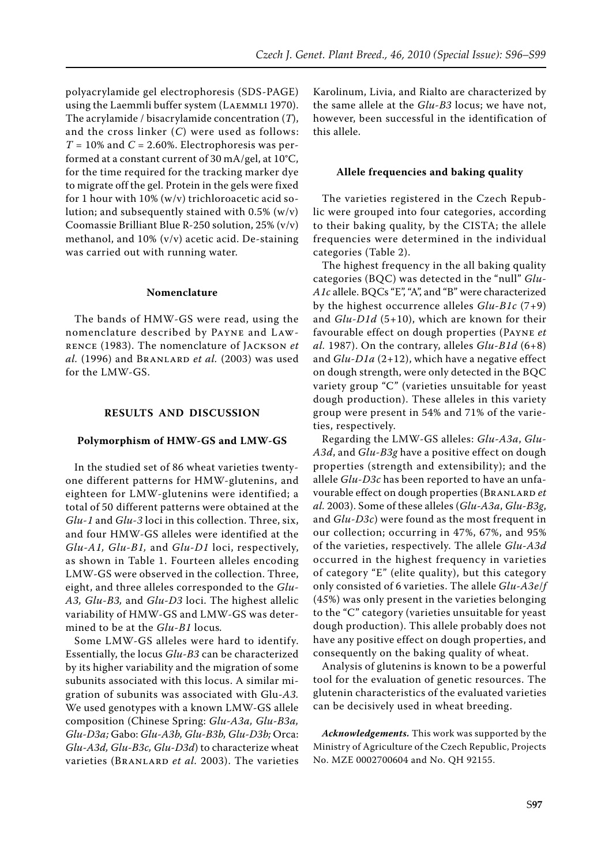polyacrylamide gel electrophoresis (SDS-PAGE) using the Laemmli buffer system (Laemmli 1970). The acrylamide / bisacrylamide concentration (*T*), and the cross linker (*C*) were used as follows:  $T = 10\%$  and  $C = 2.60\%$ . Electrophoresis was performed at a constant current of 30 mA/gel, at 10°C, for the time required for the tracking marker dye to migrate off the gel. Protein in the gels were fixed for 1 hour with 10% (w/v) trichloroacetic acid solution; and subsequently stained with  $0.5\%$  (w/v) Coomassie Brilliant Blue R-250 solution, 25% (v/v) methanol, and 10% (v/v) acetic acid. De-staining was carried out with running water.

## **Nomenclature**

The bands of HMW-GS were read, using the nomenclature described by Payne and Lawrence (1983). The nomenclature of Jackson *et al.* (1996) and Branlard *et al.* (2003) was used for the LMW-GS.

### **Results and discussion**

#### **Polymorphism of HMW-GS and LMW-GS**

In the studied set of 86 wheat varieties twentyone different patterns for HMW-glutenins, and eighteen for LMW-glutenins were identified; a total of 50 different patterns were obtained at the *Glu-1* and *Glu-3* loci in this collection. Three, six, and four HMW-GS alleles were identified at the *Glu-A1, Glu-B1,* and *Glu-D1* loci, respectively, as shown in Table 1. Fourteen alleles encoding LMW-GS were observed in the collection. Three, eight, and three alleles corresponded to the *Glu-A3, Glu-B3,* and *Glu-D3* loci. The highest allelic variability of HMW-GS and LMW-GS was determined to be at the *Glu-B1* locus*.*

Some LMW-GS alleles were hard to identify. Essentially, the locus *Glu-B3* can be characterized by its higher variability and the migration of some subunits associated with this locus. A similar migration of subunits was associated with Glu*-A3.* We used genotypes with a known LMW-GS allele composition (Chinese Spring: *Glu-A3a, Glu-B3a, Glu-D3a;* Gabo: *Glu-A3b, Glu-B3b, Glu-D3b;* Orca: *Glu-A3d, Glu-B3c, Glu-D3d*) to characterize wheat varieties (BRANLARD *et al.* 2003). The varieties

Karolinum, Livia, and Rialto are characterized by the same allele at the *Glu-B3* locus; we have not, however, been successful in the identification of this allele.

#### **Allele frequencies and baking quality**

The varieties registered in the Czech Republic were grouped into four categories, according to their baking quality, by the CISTA; the allele frequencies were determined in the individual categories (Table 2).

The highest frequency in the all baking quality categories (BQC) was detected in the "null" *Glu-A1c* allele. BQCs "E", "A", and "B" were characterized by the highest occurrence alleles *Glu-B1c* (7+9) and *Glu-D1d* (5+10), which are known for their favourable effect on dough properties (Payne *et al.* 1987). On the contrary, alleles *Glu-B1d* (6+8) and *Glu-D1a* (2+12), which have a negative effect on dough strength, were only detected in the BQC variety group "C" (varieties unsuitable for yeast dough production). These alleles in this variety group were present in 54% and 71% of the varieties, respectively.

Regarding the LMW-GS alleles: *Glu-A3a*, *Glu-A3d*, and *Glu-B3g* have a positive effect on dough properties (strength and extensibility); and the allele *Glu-D3c* has been reported to have an unfavourable effect on dough properties (Branlard *et al.* 2003). Some of these alleles (*Glu-A3a*, *Glu-B3g*, and *Glu-D3c*) were found as the most frequent in our collection; occurring in 47%, 67%, and 95% of the varieties, respectively. The allele *Glu-A3d* occurred in the highest frequency in varieties of category "E" (elite quality), but this category only consisted of 6 varieties. The allele *Glu-A3e*/*f*  (4*5*%) was only present in the varieties belonging to the "C" category (varieties unsuitable for yeast dough production). This allele probably does not have any positive effect on dough properties, and consequently on the baking quality of wheat.

Analysis of glutenins is known to be a powerful tool for the evaluation of genetic resources. The glutenin characteristics of the evaluated varieties can be decisively used in wheat breeding.

*Acknowledgements.* This work was supported by the Ministry of Agriculture of the Czech Republic, Projects No. MZE 0002700604 and No. QH 92155.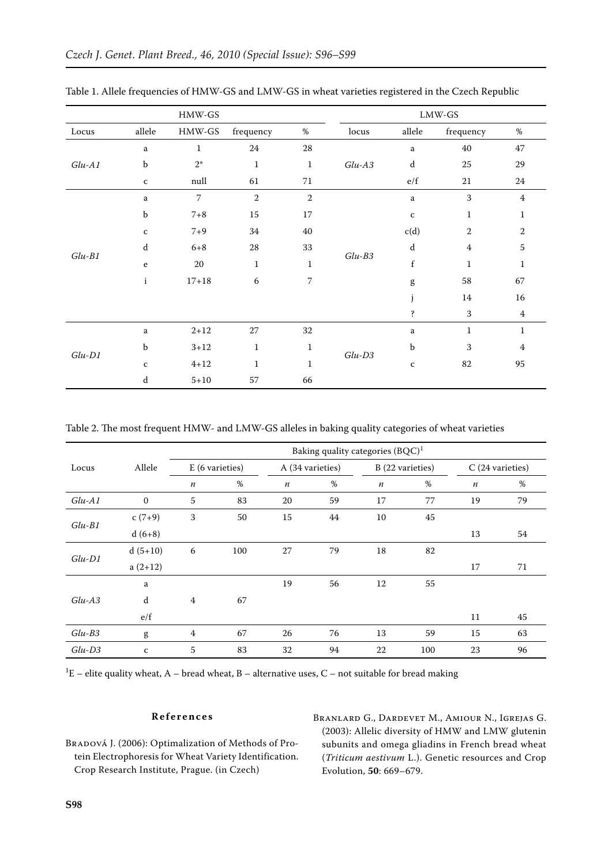| $HMW-GS$ |              |                |                |                |          | $LMW$ -GS                                                                                                                                                                                                                                                                                                                                                                                                                      |                |                |  |  |
|----------|--------------|----------------|----------------|----------------|----------|--------------------------------------------------------------------------------------------------------------------------------------------------------------------------------------------------------------------------------------------------------------------------------------------------------------------------------------------------------------------------------------------------------------------------------|----------------|----------------|--|--|
| Locus    | $\it allele$ | $HMW-GS$       | frequency      | $\%$           | locus    | $\it allele$                                                                                                                                                                                                                                                                                                                                                                                                                   | frequency      | $\%$           |  |  |
| $Glu-A1$ | $\mathbf{a}$ | $\mathbf{1}$   | 24             | $\sqrt{28}$    |          | $\mathbf{a}$                                                                                                                                                                                                                                                                                                                                                                                                                   | 40             | 47             |  |  |
|          | $\rm b$      | $2^*$          | $\mathbf{1}$   | $\mathbf 1$    | $Glu-AS$ | $\rm d$                                                                                                                                                                                                                                                                                                                                                                                                                        | 25             | 29             |  |  |
|          | $\mathbf{C}$ | null           | 61             | 71             |          | e/f                                                                                                                                                                                                                                                                                                                                                                                                                            | 21             | 24             |  |  |
| $Glu-B1$ | $\rm{a}$     | $\overline{7}$ | $\overline{2}$ | $\overline{2}$ |          | $\mathbf{a}$                                                                                                                                                                                                                                                                                                                                                                                                                   | 3              | $\overline{4}$ |  |  |
|          | b            | $7 + 8$        | $15\,$         | 17             | $Glu-B3$ | $\mathbf{C}$                                                                                                                                                                                                                                                                                                                                                                                                                   | $\mathbf{1}$   | 1              |  |  |
|          | $\mathbf{C}$ | $7 + 9$        | 34             | $40\,$         |          | c(d)                                                                                                                                                                                                                                                                                                                                                                                                                           | $\sqrt{2}$     | $\overline{2}$ |  |  |
|          | ${\rm d}$    | $6 + 8$        | $28\,$         | 33             |          | d                                                                                                                                                                                                                                                                                                                                                                                                                              | $\overline{4}$ | $\sqrt{5}$     |  |  |
|          | $\mathbf e$  | 20             | $\mathbf{1}$   | $\mathbf{1}$   |          | $\mathbf f$                                                                                                                                                                                                                                                                                                                                                                                                                    | $\mathbf{1}$   | $\mathbf{1}$   |  |  |
|          | $\mathbf{i}$ | $17 + 18$      | 6              | 7              |          | $\mathbf{g}% _{T}=\mathbf{g}_{T}=\mathbf{g}_{T}=\mathbf{g}_{T}=\mathbf{g}_{T}=\mathbf{g}_{T}=\mathbf{g}_{T}=\mathbf{g}_{T}=\mathbf{g}_{T}=\mathbf{g}_{T}=\mathbf{g}_{T}=\mathbf{g}_{T}=\mathbf{g}_{T}=\mathbf{g}_{T}=\mathbf{g}_{T}=\mathbf{g}_{T}=\mathbf{g}_{T}=\mathbf{g}_{T}=\mathbf{g}_{T}=\mathbf{g}_{T}=\mathbf{g}_{T}=\mathbf{g}_{T}=\mathbf{g}_{T}=\mathbf{g}_{T}=\mathbf{g}_{T}=\mathbf{g}_{T}=\mathbf{g}_{T}=\math$ | 58             | 67             |  |  |
|          |              |                |                |                |          |                                                                                                                                                                                                                                                                                                                                                                                                                                | 14             | 16             |  |  |
|          |              |                |                |                |          | $\ddot{\mathbf{3}}$                                                                                                                                                                                                                                                                                                                                                                                                            | 3              | $\overline{4}$ |  |  |
| $Glu-D1$ | $\mathbf{a}$ | $2 + 12$       | 27             | 32             | $Glu-D3$ | a                                                                                                                                                                                                                                                                                                                                                                                                                              | $\mathbf{1}$   | $\mathbf{1}$   |  |  |
|          | b            | $3 + 12$       | $\mathbf{1}$   | $\mathbf{1}$   |          | b                                                                                                                                                                                                                                                                                                                                                                                                                              | $\mathbf{3}$   | $\overline{4}$ |  |  |
|          | $\mathbf C$  | $4 + 12$       | $\mathbf{1}$   | $\mathbf{1}$   |          | $\mathbf{C}$                                                                                                                                                                                                                                                                                                                                                                                                                   | 82             | 95             |  |  |
|          | ${\rm d}$    | $5 + 10$       | 57             | 66             |          |                                                                                                                                                                                                                                                                                                                                                                                                                                |                |                |  |  |

Table 1. Allele frequencies of HMW-GS and LMW-GS in wheat varieties registered in the Czech Republic

Table 2. The most frequent HMW- and LMW-GS alleles in baking quality categories of wheat varieties

|          | Allele       | Baking quality categories $(BQC)^1$ |     |                  |                  |                  |                  |                  |                  |  |
|----------|--------------|-------------------------------------|-----|------------------|------------------|------------------|------------------|------------------|------------------|--|
| Locus    |              | E (6 varieties)                     |     |                  | A (34 varieties) |                  | B (22 varieties) |                  | C (24 varieties) |  |
|          |              | $\boldsymbol{n}$                    | %   | $\boldsymbol{n}$ | %                | $\boldsymbol{n}$ | %                | $\boldsymbol{n}$ | %                |  |
| $Glu-A1$ | $\mathbf{0}$ | 5                                   | 83  | 20               | 59               | 17               | 77               | 19               | 79               |  |
| $Glu-B1$ | $c(7+9)$     | 3                                   | 50  | 15               | 44               | 10               | 45               |                  |                  |  |
|          | $d(6+8)$     |                                     |     |                  |                  |                  |                  | 13               | 54               |  |
| $Glu-D1$ | $d(5+10)$    | 6                                   | 100 | 27               | 79               | 18               | 82               |                  |                  |  |
|          | $a(2+12)$    |                                     |     |                  |                  |                  |                  | 17               | 71               |  |
| $Glu-AS$ | a            |                                     |     | 19               | 56               | 12               | 55               |                  |                  |  |
|          | d            | $\overline{4}$                      | 67  |                  |                  |                  |                  |                  |                  |  |
|          | e/f          |                                     |     |                  |                  |                  |                  | 11               | 45               |  |
| $Glu-B3$ | g            | $\overline{4}$                      | 67  | 26               | 76               | 13               | 59               | 15               | 63               |  |
| $Glu-D3$ | $\mathbf{C}$ | 5                                   | 83  | 32               | 94               | 22               | 100              | 23               | 96               |  |

<sup>1</sup>E – elite quality wheat, A – bread wheat, B – alternative uses, C – not suitable for bread making

## References

BRADOVÁ J. (2006): Optimalization of Methods of Protein Electrophoresis for Wheat Variety Identification. Crop Research Institute, Prague. (in Czech)

BRANLARD G., DARDEVET M., AMIOUR N., IGREJAS G. (2003): Allelic diversity of HMW and LMW glutenin subunits and omega gliadins in French bread wheat (Triticum aestivum L.). Genetic resources and Crop Evolution, 50: 669-679.